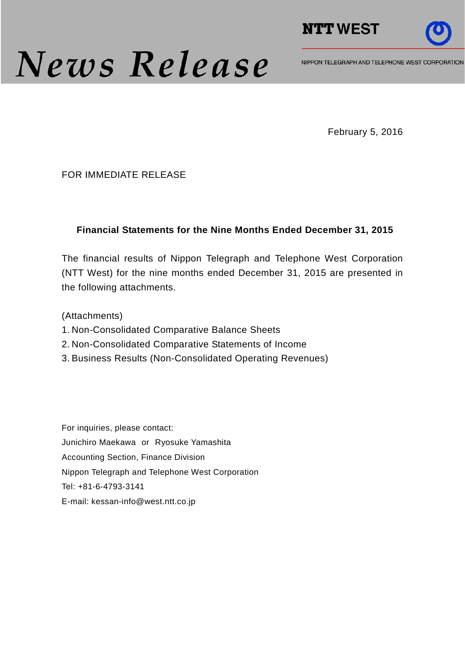

# News Release

NIPPON TELEGRAPH AND TELEPHONE WEST CORPORATION

February 5, 2016

#### FOR IMMEDIATE RELEASE

#### **Financial Statements for the Nine Months Ended December 31, 2015**

The financial results of Nippon Telegraph and Telephone West Corporation (NTT West) for the nine months ended December 31, 2015 are presented in the following attachments.

(Attachments)

- 1. Non-Consolidated Comparative Balance Sheets
- 2. Non-Consolidated Comparative Statements of Income
- 3. Business Results (Non-Consolidated Operating Revenues)

For inquiries, please contact: Junichiro Maekawa or Ryosuke Yamashita Accounting Section, Finance Division Nippon Telegraph and Telephone West Corporation Tel: +81-6-4793-3141 E-mail: kessan-info@west.ntt.co.jp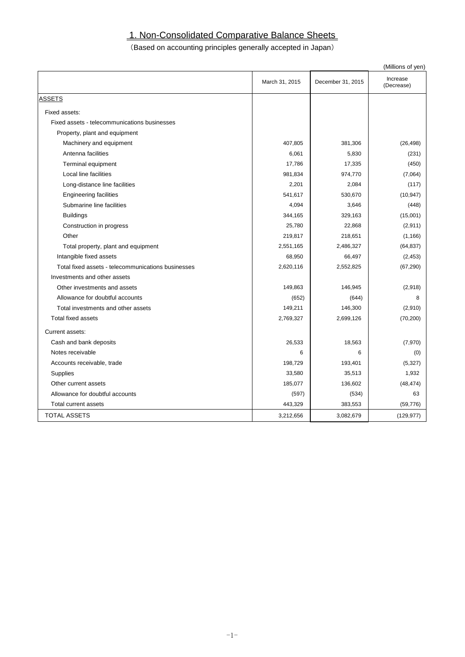# 1. Non-Consolidated Comparative Balance Sheets

## (Based on accounting principles generally accepted in Japan)

|                                                    |                |                   | (Millions of yen)      |
|----------------------------------------------------|----------------|-------------------|------------------------|
|                                                    | March 31, 2015 | December 31, 2015 | Increase<br>(Decrease) |
| <b>ASSETS</b>                                      |                |                   |                        |
| Fixed assets:                                      |                |                   |                        |
| Fixed assets - telecommunications businesses       |                |                   |                        |
| Property, plant and equipment                      |                |                   |                        |
| Machinery and equipment                            | 407,805        | 381,306           | (26, 498)              |
| Antenna facilities                                 | 6,061          | 5,830             | (231)                  |
| <b>Terminal equipment</b>                          | 17,786         | 17,335            | (450)                  |
| Local line facilities                              | 981,834        | 974,770           | (7,064)                |
| Long-distance line facilities                      | 2,201          | 2,084             | (117)                  |
| <b>Engineering facilities</b>                      | 541,617        | 530,670           | (10, 947)              |
| Submarine line facilities                          | 4,094          | 3,646             | (448)                  |
| <b>Buildings</b>                                   | 344,165        | 329,163           | (15,001)               |
| Construction in progress                           | 25,780         | 22,868            | (2,911)                |
| Other                                              | 219,817        | 218,651           | (1, 166)               |
| Total property, plant and equipment                | 2,551,165      | 2,486,327         | (64, 837)              |
| Intangible fixed assets                            | 68,950         | 66,497            | (2, 453)               |
| Total fixed assets - telecommunications businesses | 2,620,116      | 2,552,825         | (67, 290)              |
| Investments and other assets                       |                |                   |                        |
| Other investments and assets                       | 149,863        | 146,945           | (2,918)                |
| Allowance for doubtful accounts                    | (652)          | (644)             | 8                      |
| Total investments and other assets                 | 149,211        | 146,300           | (2,910)                |
| <b>Total fixed assets</b>                          | 2,769,327      | 2,699,126         | (70, 200)              |
| Current assets:                                    |                |                   |                        |
| Cash and bank deposits                             | 26,533         | 18,563            | (7,970)                |
| Notes receivable                                   | 6              | 6                 | (0)                    |
| Accounts receivable, trade                         | 198,729        | 193,401           | (5,327)                |
| <b>Supplies</b>                                    | 33,580         | 35,513            | 1,932                  |
| Other current assets                               | 185,077        | 136,602           | (48, 474)              |
| Allowance for doubtful accounts                    | (597)          | (534)             | 63                     |
| Total current assets                               | 443,329        | 383,553           | (59, 776)              |
| <b>TOTAL ASSETS</b>                                | 3,212,656      | 3,082,679         | (129, 977)             |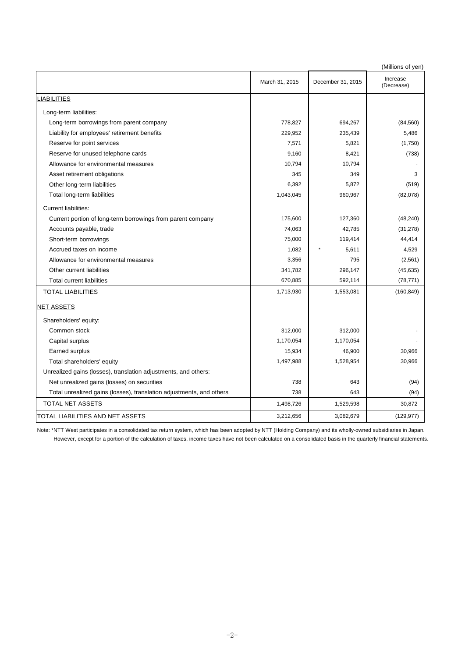|                                                                      |                |                   | (Millions of yen)      |
|----------------------------------------------------------------------|----------------|-------------------|------------------------|
|                                                                      | March 31, 2015 | December 31, 2015 | Increase<br>(Decrease) |
| LIABILITIES                                                          |                |                   |                        |
| Long-term liabilities:                                               |                |                   |                        |
| Long-term borrowings from parent company                             | 778,827        | 694,267           | (84, 560)              |
| Liability for employees' retirement benefits                         | 229,952        | 235,439           | 5,486                  |
| Reserve for point services                                           | 7,571          | 5,821             | (1,750)                |
| Reserve for unused telephone cards                                   | 9,160          | 8,421             | (738)                  |
| Allowance for environmental measures                                 | 10,794         | 10,794            |                        |
| Asset retirement obligations                                         | 345            | 349               | 3                      |
| Other long-term liabilities                                          | 6,392          | 5,872             | (519)                  |
| Total long-term liabilities                                          | 1,043,045      | 960,967           | (82,078)               |
| <b>Current liabilities:</b>                                          |                |                   |                        |
| Current portion of long-term borrowings from parent company          | 175,600        | 127,360           | (48, 240)              |
| Accounts payable, trade                                              | 74,063         | 42,785            | (31, 278)              |
| Short-term borrowings                                                | 75,000         | 119,414           | 44,414                 |
| Accrued taxes on income                                              | 1,082          | 5,611             | 4,529                  |
| Allowance for environmental measures                                 | 3,356          | 795               | (2, 561)               |
| Other current liabilities                                            | 341,782        | 296,147           | (45, 635)              |
| <b>Total current liabilities</b>                                     | 670,885        | 592,114           | (78, 771)              |
| <b>TOTAL LIABILITIES</b>                                             | 1,713,930      | 1,553,081         | (160, 849)             |
| <b>NET ASSETS</b>                                                    |                |                   |                        |
| Shareholders' equity:                                                |                |                   |                        |
| Common stock                                                         | 312,000        | 312,000           |                        |
| Capital surplus                                                      | 1,170,054      | 1,170,054         |                        |
| Earned surplus                                                       | 15,934         | 46,900            | 30,966                 |
| Total shareholders' equity                                           | 1,497,988      | 1,528,954         | 30,966                 |
| Unrealized gains (losses), translation adjustments, and others:      |                |                   |                        |
| Net unrealized gains (losses) on securities                          | 738            | 643               | (94)                   |
| Total unrealized gains (losses), translation adjustments, and others | 738            | 643               | (94)                   |
| TOTAL NET ASSETS                                                     | 1,498,726      | 1,529,598         | 30,872                 |
| TOTAL LIABILITIES AND NET ASSETS                                     | 3,212,656      | 3,082,679         | (129, 977)             |

Note: \*NTT West participates in a consolidated tax return system, which has been adopted by NTT (Holding Company) and its wholly-owned subsidiaries in Japan. However, except for a portion of the calculation of taxes, income taxes have not been calculated on a consolidated basis in the quarterly financial statements.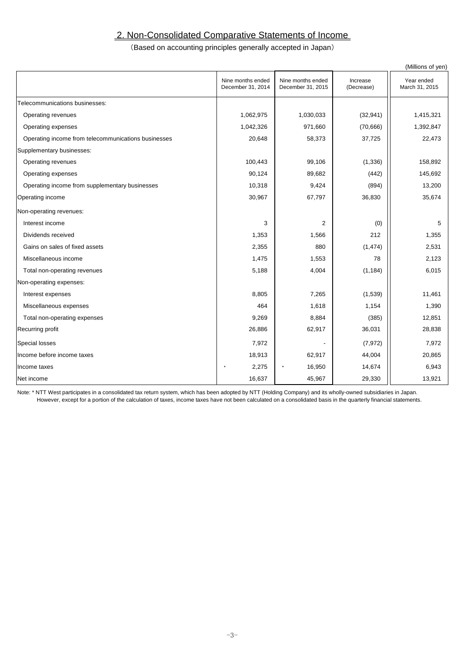## 2. Non-Consolidated Comparative Statements of Income

#### (Based on accounting principles generally accepted in Japan)

|                                                     |                                        |                                        |                        | (Millions of yen)            |
|-----------------------------------------------------|----------------------------------------|----------------------------------------|------------------------|------------------------------|
|                                                     | Nine months ended<br>December 31, 2014 | Nine months ended<br>December 31, 2015 | Increase<br>(Decrease) | Year ended<br>March 31, 2015 |
| Telecommunications businesses:                      |                                        |                                        |                        |                              |
| Operating revenues                                  | 1,062,975                              | 1,030,033                              | (32, 941)              | 1,415,321                    |
| Operating expenses                                  | 1,042,326                              | 971,660                                | (70, 666)              | 1,392,847                    |
| Operating income from telecommunications businesses | 20,648                                 | 58,373                                 | 37,725                 | 22,473                       |
| Supplementary businesses:                           |                                        |                                        |                        |                              |
| Operating revenues                                  | 100,443                                | 99,106                                 | (1, 336)               | 158,892                      |
| Operating expenses                                  | 90,124                                 | 89,682                                 | (442)                  | 145,692                      |
| Operating income from supplementary businesses      | 10,318                                 | 9,424                                  | (894)                  | 13,200                       |
| Operating income                                    | 30,967                                 | 67,797                                 | 36,830                 | 35,674                       |
| Non-operating revenues:                             |                                        |                                        |                        |                              |
| Interest income                                     | 3                                      | $\overline{2}$                         | (0)                    | 5                            |
| Dividends received                                  | 1,353                                  | 1,566                                  | 212                    | 1,355                        |
| Gains on sales of fixed assets                      | 2,355                                  | 880                                    | (1, 474)               | 2,531                        |
| Miscellaneous income                                | 1,475                                  | 1,553                                  | 78                     | 2,123                        |
| Total non-operating revenues                        | 5,188                                  | 4,004                                  | (1, 184)               | 6,015                        |
| Non-operating expenses:                             |                                        |                                        |                        |                              |
| Interest expenses                                   | 8,805                                  | 7,265                                  | (1,539)                | 11,461                       |
| Miscellaneous expenses                              | 464                                    | 1,618                                  | 1,154                  | 1,390                        |
| Total non-operating expenses                        | 9,269                                  | 8,884                                  | (385)                  | 12,851                       |
| Recurring profit                                    | 26,886                                 | 62,917                                 | 36,031                 | 28,838                       |
| <b>Special losses</b>                               | 7,972                                  |                                        | (7, 972)               | 7,972                        |
| Income before income taxes                          | 18,913                                 | 62,917                                 | 44,004                 | 20,865                       |
| Income taxes                                        | 2,275                                  | 16,950                                 | 14,674                 | 6,943                        |
| Net income                                          | 16,637                                 | 45,967                                 | 29,330                 | 13,921                       |

Note: \* NTT West participates in a consolidated tax return system, which has been adopted by NTT (Holding Company) and its wholly-owned subsidiaries in Japan. However, except for a portion of the calculation of taxes, income taxes have not been calculated on a consolidated basis in the quarterly financial statements.